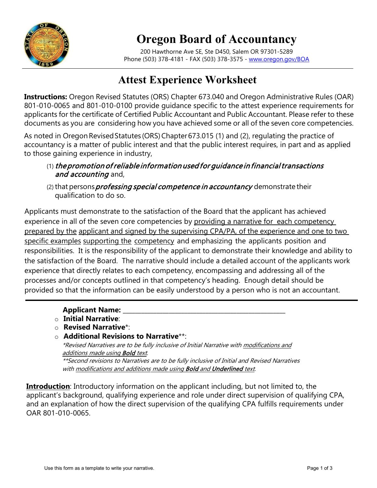

# **Oregon Board of Accountancy**

200 Hawthorne Ave SE, Ste D450, Salem OR 97301-5289 Phone (503) 378-4181 - FAX (503) 378-3575 - [www.oregon.gov/BOA](http://www.oregon.gov/BOA)

# **Attest Experience Worksheet**

**Instructions:** Oregon Revised Statutes (ORS) Chapter 673.040 and Oregon Administrative Rules (OAR) 801-010-0065 and 801-010-0100 provide guidance specific to the attest experience requirements for applicants for the certificate of Certified Public Accountant and Public Accountant. Please refer to these documents as you are considering how you have achieved some or all of the seven core competencies.

As noted in Oregon Revised Statutes (ORS) Chapter 673.015 (1) and (2), regulating the practice of accountancy is a matter of public interest and that the public interest requires, in part and as applied to those gaining experience in industry,

## $(1)$  the promotion of reliable information used for quidance in financial transactions and accounting and,

(2) that persons *professing special competence in accountancy* demonstrate their qualification to do so.

Applicants must demonstrate to the satisfaction of the Board that the applicant has achieved experience in all of the seven core competencies by providing a narrative for each competency prepared by the applicant and signed by the supervising CPA/PA, of the experience and one to two specific examples supporting the competency and emphasizing the applicants position and responsibilities. It is the responsibility of the applicant to demonstrate their knowledge and ability to the satisfaction of the Board. The narrative should include a detailed account of the applicants work experience that directly relates to each competency, encompassing and addressing all of the processes and/or concepts outlined in that competency's heading. Enough detail should be provided so that the information can be easily understood by a person who is not an accountant.

### **Applicant Name:**

- o **Initial Narrative**:
- o **Revised Narrative**\*:

### o **Additional Revisions to Narrative**\*\*:

\*Revised Narratives are to be fully inclusive of Initial Narrative with modifications and additions made using **Bold** text.

\*\*Second revisions to Narratives are to be fully inclusive of Initial and Revised Narratives with modifications and additions made using Bold and Underlined text.

**Introduction**: Introductory information on the applicant including, but not limited to, the applicant's background, qualifying experience and role under direct supervision of qualifying CPA, and an explanation of how the direct supervision of the qualifying CPA fulfills requirements under OAR 801-010-0065.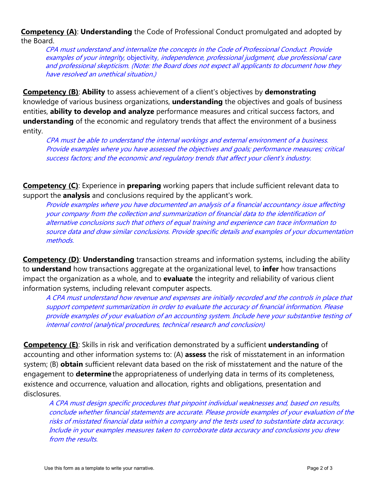**Competency (A)**: **Understanding** the Code of Professional Conduct promulgated and adopted by the Board.

CPA must understand and internalize the concepts in the Code of Professional Conduct. Provide examples of your integrity, objectivity, independence, professional judgment, due professional care and professional skepticism. (Note: the Board does not expect all applicants to document how they have resolved an unethical situation.)

**Competency (B)**: **Ability** to assess achievement of a client's objectives by **demonstrating**  knowledge of various business organizations, **understanding** the objectives and goals of business entities, **ability to develop and analyze** performance measures and critical success factors, and **understanding** of the economic and regulatory trends that affect the environment of a business entity.

CPA must be able to understand the internal workings and external environment of <sup>a</sup> business. Provide examples where you have assessed the objectives and goals; performance measures; critical success factors; and the economic and regulatory trends that affect your <sup>c</sup>lient's industry.

**Competency (C)**: Experience in **preparing** working papers that include sufficient relevant data to support the **analysis** and conclusions required by the applicant's work.

Provide examples where you have documented an analysis of a financial accountancy issue affecting your company from the collection and summarization of financial data to the identification of alternative conclusions such that others of equal training and experience can trace information to source data and draw similar conclusions. Provide specific details and examples of your documentation methods.

**Competency (D): Understanding** transaction streams and information systems, including the ability to **understand** how transactions aggregate at the organizational level, to **infer** how transactions impact the organization as a whole, and to **evaluate** the integrity and reliability of various client information systems, including relevant computer aspects.

A CPA must understand how revenue and expenses are initially recorded and the controls in place that support competent summarization in order to evaluate the accuracy of financial information. Please provide examples of your evaluation of an accounting system. Include here your substantive testing of internal control (analytical procedures, technical research and conclusion)

**Competency (E)**: Skills in risk and verification demonstrated by a sufficient **understanding** of accounting and other information systems to: (A) **assess** the risk of misstatement in an information system; (B) **obtain** sufficient relevant data based on the risk of misstatement and the nature of the engagement to **determine** the appropriateness of underlying data in terms of its completeness, existence and occurrence, valuation and allocation, rights and obligations, presentation and disclosures.

A CPA must design specific procedures that pinpoint individual weaknesses and, based on results, conclude whether financial statements are accurate. Please provide examples of your evaluation of the risks of misstated financial data within a company and the tests used to substantiate data accuracy. Include in your examples measures taken to corroborate data accuracy and conclusions you drew from the results.